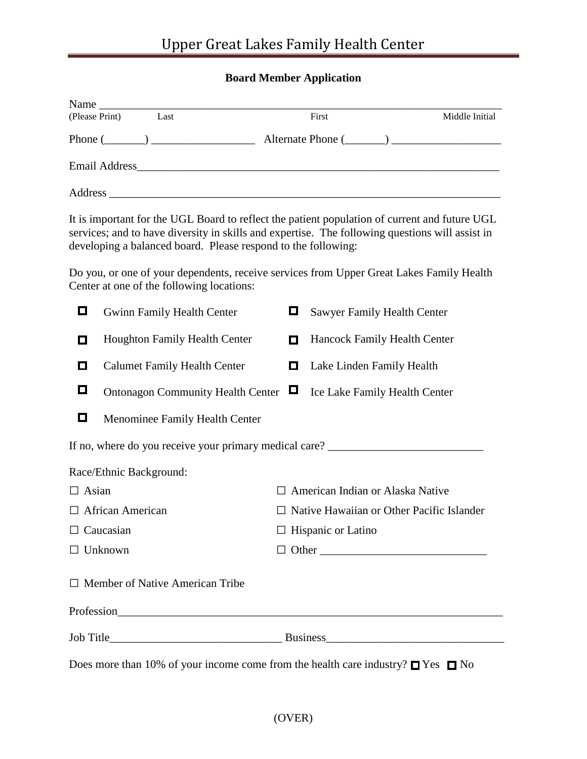## **Board Member Application**

| Name           |                |       |                |
|----------------|----------------|-------|----------------|
| (Please Print) | Last           | First | Middle Initial |
|                | Phone $(\_\_)$ |       |                |
| Email Address_ |                |       |                |
| Address        |                |       |                |

It is important for the UGL Board to reflect the patient population of current and future UGL services; and to have diversity in skills and expertise. The following questions will assist in developing a balanced board. Please respond to the following:

Do you, or one of your dependents, receive services from Upper Great Lakes Family Health Center at one of the following locations:

| О                       | <b>Gwinn Family Health Center</b>                                                          | О                                | Sawyer Family Health Center                      |  |
|-------------------------|--------------------------------------------------------------------------------------------|----------------------------------|--------------------------------------------------|--|
| О                       | <b>Houghton Family Health Center</b>                                                       | О                                | Hancock Family Health Center                     |  |
| O                       | <b>Calumet Family Health Center</b>                                                        | О                                | Lake Linden Family Health                        |  |
| О                       | Ontonagon Community Health Center □                                                        |                                  | Ice Lake Family Health Center                    |  |
| 0                       | Menominee Family Health Center                                                             |                                  |                                                  |  |
|                         |                                                                                            |                                  |                                                  |  |
|                         | Race/Ethnic Background:                                                                    |                                  |                                                  |  |
| $\Box$ Asian            |                                                                                            | American Indian or Alaska Native |                                                  |  |
| $\Box$ African American |                                                                                            |                                  | $\Box$ Native Hawaiian or Other Pacific Islander |  |
| $\Box$ Caucasian        |                                                                                            | $\Box$ Hispanic or Latino        |                                                  |  |
| $\Box$ Unknown          |                                                                                            | $\Box$ Other                     |                                                  |  |
|                         | $\Box$ Member of Native American Tribe                                                     |                                  |                                                  |  |
|                         |                                                                                            |                                  |                                                  |  |
|                         |                                                                                            |                                  |                                                  |  |
|                         | Does more than 10% of your income come from the health care industry? $\Box$ Yes $\Box$ No |                                  |                                                  |  |